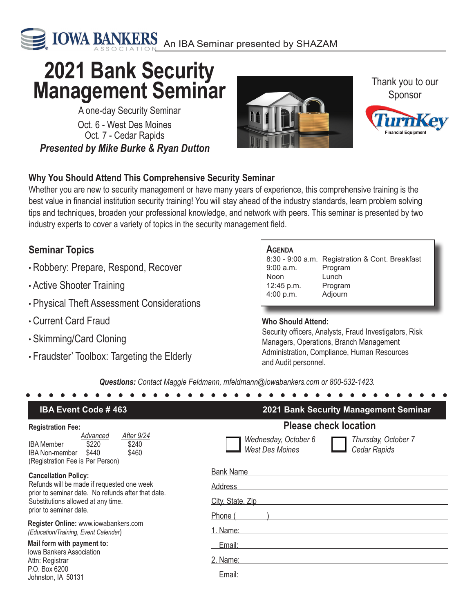

# **<sup>2021</sup> Bank Security Management Seminar**

Oct. 6 - West Des Moines Oct. 7 - Cedar Rapids A one-day Security Seminar *Presented by Mike Burke & Ryan Dutton*



Thank you to our Sponsor



## **Why You Should Attend This Comprehensive Security Seminar**

Whether you are new to security management or have many years of experience, this comprehensive training is the best value in financial institution security training! You will stay ahead of the industry standards, learn problem solving tips and techniques, broaden your professional knowledge, and network with peers. This seminar is presented by two industry experts to cover a variety of topics in the security management field.

# **Seminar Topics**

- Robbery: Prepare, Respond, Recover
- Active Shooter Training
- Physical Theft Assessment Considerations
- Current Card Fraud
- Skimming/Card Cloning
- Fraudster' Toolbox: Targeting the Elderly

### **Agenda**

|            | 8:30 - 9:00 a.m. Registration & Cont. Breakfast |
|------------|-------------------------------------------------|
| 9:00 a.m.  | Program                                         |
| Noon       | Lunch                                           |
| 12:45 p.m. | Program                                         |
| 4:00 p.m.  | Adjourn                                         |
|            |                                                 |

#### **Who Should Attend:**

Security officers, Analysts, Fraud Investigators, Risk Managers, Operations, Branch Management Administration, Compliance, Human Resources and Audit personnel.

*Questions: Contact Maggie Feldmann, mfeldmann@iowabankers.com or 800-532-1423.*

| <b>IBA Event Code #463</b>                                                                                                                                                                                                                       | 2021 Bank Security Management Seminar                                                 |
|--------------------------------------------------------------------------------------------------------------------------------------------------------------------------------------------------------------------------------------------------|---------------------------------------------------------------------------------------|
| <b>Registration Fee:</b>                                                                                                                                                                                                                         | <b>Please check location</b>                                                          |
| After 9/24<br>Advanced<br>\$220<br>\$240<br><b>IBA</b> Member<br>\$460<br>\$440<br><b>IBA Non-member</b><br>(Registration Fee is Per Person)                                                                                                     | Thursday, October 7<br>Wednesday, October 6<br><b>West Des Moines</b><br>Cedar Rapids |
| <b>Cancellation Policy:</b>                                                                                                                                                                                                                      | <b>Bank Name</b>                                                                      |
| Refunds will be made if requested one week<br>prior to seminar date. No refunds after that date.<br>Substitutions allowed at any time.<br>prior to seminar date.<br>Register Online: www.iowabankers.com<br>(Education/Training, Event Calendar) | <b>Address</b>                                                                        |
|                                                                                                                                                                                                                                                  | City, State, Zip                                                                      |
|                                                                                                                                                                                                                                                  | Phone (                                                                               |
|                                                                                                                                                                                                                                                  | 1. Name:                                                                              |
| Mail form with payment to:<br><b>Iowa Bankers Association</b><br>Attn: Registrar                                                                                                                                                                 | Email:                                                                                |
|                                                                                                                                                                                                                                                  | 2. Name:                                                                              |
| P.O. Box 6200<br>Johnston. IA 50131                                                                                                                                                                                                              | Email:                                                                                |